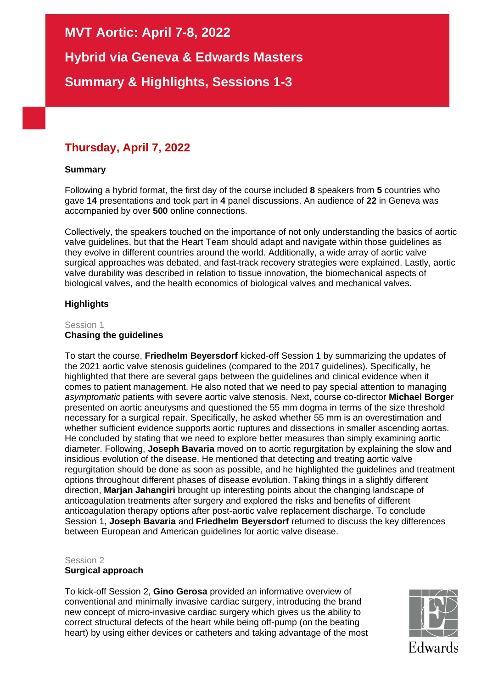**MVT Aortic: April 7-8, 2022**

**Hybrid via Geneva & Edwards Masters**

**Summary & Highlights, Sessions 1-3**

# **Thursday, April 7, 2022**

## **Summary**

Following a hybrid format, the first day of the course included **8** speakers from **5** countries who gave **14** presentations and took part in **4** panel discussions. An audience of **22** in Geneva was accompanied by over **500** online connections.

Collectively, the speakers touched on the importance of not only understanding the basics of aortic valve guidelines, but that the Heart Team should adapt and navigate within those guidelines as they evolve in different countries around the world. Additionally, a wide array of aortic valve surgical approaches was debated, and fast-track recovery strategies were explained. Lastly, aortic valve durability was described in relation to tissue innovation, the biomechanical aspects of biological valves, and the health economics of biological valves and mechanical valves.

## **Highlights**

#### Session 1 **Chasing the guidelines**

To start the course, **Friedhelm Beyersdorf** kicked-off Session 1 by summarizing the updates of the 2021 aortic valve stenosis guidelines (compared to the 2017 guidelines). Specifically, he highlighted that there are several gaps between the guidelines and clinical evidence when it comes to patient management. He also noted that we need to pay special attention to managing *asymptomatic* patients with severe aortic valve stenosis. Next, course co-director **Michael Borger** presented on aortic aneurysms and questioned the 55 mm dogma in terms of the size threshold necessary for a surgical repair. Specifically, he asked whether 55 mm is an overestimation and whether sufficient evidence supports aortic ruptures and dissections in smaller ascending aortas. He concluded by stating that we need to explore better measures than simply examining aortic diameter. Following, **Joseph Bavaria** moved on to aortic regurgitation by explaining the slow and insidious evolution of the disease. He mentioned that detecting and treating aortic valve regurgitation should be done as soon as possible, and he highlighted the guidelines and treatment options throughout different phases of disease evolution. Taking things in a slightly different direction, **Marjan Jahangiri** brought up interesting points about the changing landscape of anticoagulation treatments after surgery and explored the risks and benefits of different anticoagulation therapy options after post-aortic valve replacement discharge. To conclude Session 1, **Joseph Bavaria** and **Friedhelm Beyersdorf** returned to discuss the key differences between European and American guidelines for aortic valve disease.

## Session 2

## **Surgical approach**

To kick-off Session 2, **Gino Gerosa** provided an informative overview of conventional and minimally invasive cardiac surgery, introducing the brand new concept of micro-invasive cardiac surgery which gives us the ability to correct structural defects of the heart while being off-pump (on the beating heart) by using either devices or catheters and taking advantage of the most

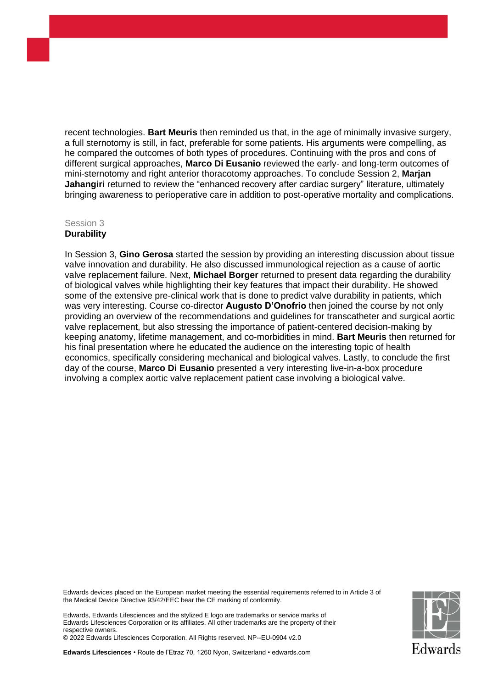recent technologies. **Bart Meuris** then reminded us that, in the age of minimally invasive surgery, a full sternotomy is still, in fact, preferable for some patients. His arguments were compelling, as he compared the outcomes of both types of procedures. Continuing with the pros and cons of different surgical approaches, **Marco Di Eusanio** reviewed the early- and long-term outcomes of mini-sternotomy and right anterior thoracotomy approaches. To conclude Session 2, **Marjan Jahangiri** returned to review the "enhanced recovery after cardiac surgery" literature, ultimately bringing awareness to perioperative care in addition to post-operative mortality and complications.

## Session 3 **Durability**

In Session 3, **Gino Gerosa** started the session by providing an interesting discussion about tissue valve innovation and durability. He also discussed immunological rejection as a cause of aortic valve replacement failure. Next, **Michael Borger** returned to present data regarding the durability of biological valves while highlighting their key features that impact their durability. He showed some of the extensive pre-clinical work that is done to predict valve durability in patients, which was very interesting. Course co-director **Augusto D'Onofrio** then joined the course by not only providing an overview of the recommendations and guidelines for transcatheter and surgical aortic valve replacement, but also stressing the importance of patient-centered decision-making by keeping anatomy, lifetime management, and co-morbidities in mind. **Bart Meuris** then returned for his final presentation where he educated the audience on the interesting topic of health economics, specifically considering mechanical and biological valves. Lastly, to conclude the first day of the course, **Marco Di Eusanio** presented a very interesting live-in-a-box procedure involving a complex aortic valve replacement patient case involving a biological valve.

Edwards devices placed on the European market meeting the essential requirements referred to in Article 3 of the Medical Device Directive 93/42/EEC bear the CE marking of conformity.

Edwards, Edwards Lifesciences and the stylized E logo are trademarks or service marks of Edwards Lifesciences Corporation or its affiliates. All other trademarks are the property of their respective owners.

© 2022 Edwards Lifesciences Corporation. All Rights reserved. NP--EU-0904 v2.0

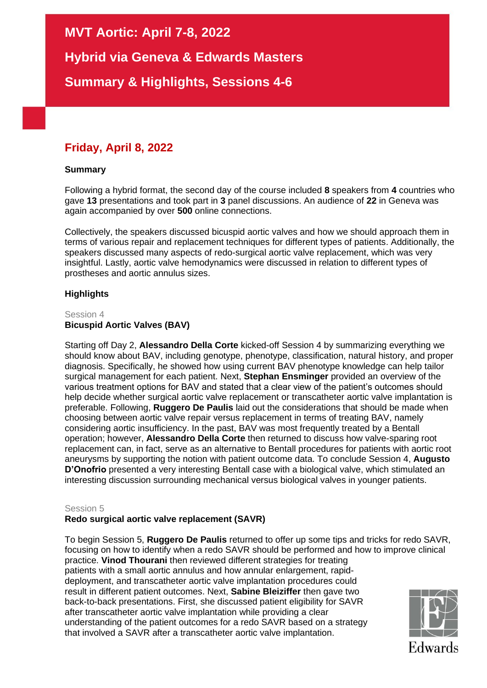**MVT Aortic: April 7-8, 2022**

**Hybrid via Geneva & Edwards Masters**

**Summary & Highlights, Sessions 4-6**

# **Friday, April 8, 2022**

## **Summary**

Following a hybrid format, the second day of the course included **8** speakers from **4** countries who gave **13** presentations and took part in **3** panel discussions. An audience of **22** in Geneva was again accompanied by over **500** online connections.

Collectively, the speakers discussed bicuspid aortic valves and how we should approach them in terms of various repair and replacement techniques for different types of patients. Additionally, the speakers discussed many aspects of redo-surgical aortic valve replacement, which was very insightful. Lastly, aortic valve hemodynamics were discussed in relation to different types of prostheses and aortic annulus sizes.

# **Highlights**

#### Session 4 **Bicuspid Aortic Valves (BAV)**

Starting off Day 2, **Alessandro Della Corte** kicked-off Session 4 by summarizing everything we should know about BAV, including genotype, phenotype, classification, natural history, and proper diagnosis. Specifically, he showed how using current BAV phenotype knowledge can help tailor surgical management for each patient. Next, **Stephan Ensminger** provided an overview of the various treatment options for BAV and stated that a clear view of the patient's outcomes should help decide whether surgical aortic valve replacement or transcatheter aortic valve implantation is preferable. Following, **Ruggero De Paulis** laid out the considerations that should be made when choosing between aortic valve repair versus replacement in terms of treating BAV, namely considering aortic insufficiency. In the past, BAV was most frequently treated by a Bentall operation; however, **Alessandro Della Corte** then returned to discuss how valve-sparing root replacement can, in fact, serve as an alternative to Bentall procedures for patients with aortic root aneurysms by supporting the notion with patient outcome data. To conclude Session 4, **Augusto D'Onofrio** presented a very interesting Bentall case with a biological valve, which stimulated an interesting discussion surrounding mechanical versus biological valves in younger patients.

## Session 5

# **Redo surgical aortic valve replacement (SAVR)**

To begin Session 5, **Ruggero De Paulis** returned to offer up some tips and tricks for redo SAVR, focusing on how to identify when a redo SAVR should be performed and how to improve clinical practice. **Vinod Thourani** then reviewed different strategies for treating patients with a small aortic annulus and how annular enlargement, rapiddeployment, and transcatheter aortic valve implantation procedures could result in different patient outcomes. Next, **Sabine Bleiziffer** then gave two back-to-back presentations. First, she discussed patient eligibility for SAVR after transcatheter aortic valve implantation while providing a clear understanding of the patient outcomes for a redo SAVR based on a strategy that involved a SAVR after a transcatheter aortic valve implantation.